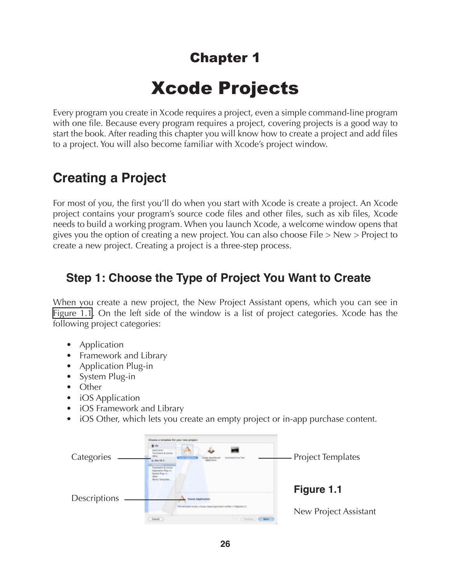## Chapter 1

# Xcode Projects

Every program you create in Xcode requires a project, even a simple command-line program with one file. Because every program requires a project, covering projects is a good way to start the book. After reading this chapter you will know how to create a project and add files to a project. You will also become familiar with Xcode's project window.

## **Creating a Project**

For most of you, the first you'll do when you start with Xcode is create a project. An Xcode project contains your program's source code files and other files, such as xib files, Xcode needs to build a working program. When you launch Xcode, a welcome window opens that gives you the option of creating a new project. You can also choose File > New > Project to create a new project. Creating a project is a three-step process.

## **Step 1: Choose the Type of Project You Want to Create**

When you create a new project, the New Project Assistant opens, which you can see in [Figure 1.1](#page-0-0). On the left side of the window is a list of project categories. Xcode has the following project categories:

- Application
- Framework and Library
- Application Plug-in
- System Plug-in
- Other
- iOS Application
- iOS Framework and Library
- iOS Other, which lets you create an empty project or in-app purchase content.

<span id="page-0-0"></span>

| Categories   | Choose a template for your new project.<br>$\blacksquare$<br>project & Library<br><b>Lemmane Line Fed</b><br>Max 04 H<br>winners & Lincoln<br><b>Continent Region</b><br>د بدا ده<br><b>Bis Vic Testapletes</b> | <b>Project Templates</b>                     |
|--------------|-----------------------------------------------------------------------------------------------------------------------------------------------------------------------------------------------------------------|----------------------------------------------|
| Descriptions | <b>Elected Application</b><br>remotes builts ur base based earliester witter in Basebie E.<br>Gannel -                                                                                                          | Figure 1.1<br>New Project Assistant<br>Nost: |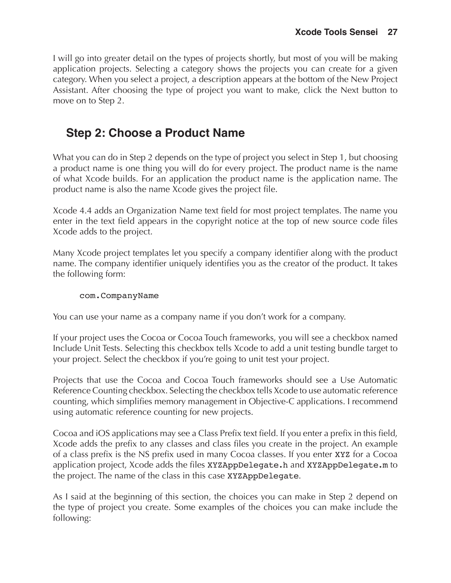I will go into greater detail on the types of projects shortly, but most of you will be making application projects. Selecting a category shows the projects you can create for a given category. When you select a project, a description appears at the bottom of the New Project Assistant. After choosing the type of project you want to make, click the Next button to move on to Step 2.

## **Step 2: Choose a Product Name**

What you can do in Step 2 depends on the type of project you select in Step 1, but choosing a product name is one thing you will do for every project. The product name is the name of what Xcode builds. For an application the product name is the application name. The product name is also the name Xcode gives the project file.

Xcode 4.4 adds an Organization Name text field for most project templates. The name you enter in the text field appears in the copyright notice at the top of new source code files Xcode adds to the project.

Many Xcode project templates let you specify a company identifier along with the product name. The company identifier uniquely identifies you as the creator of the product. It takes the following form:

#### com.CompanyName

You can use your name as a company name if you don't work for a company.

If your project uses the Cocoa or Cocoa Touch frameworks, you will see a checkbox named Include Unit Tests. Selecting this checkbox tells Xcode to add a unit testing bundle target to your project. Select the checkbox if you're going to unit test your project.

Projects that use the Cocoa and Cocoa Touch frameworks should see a Use Automatic Reference Counting checkbox. Selecting the checkbox tells Xcode to use automatic reference counting, which simplifies memory management in Objective-C applications. I recommend using automatic reference counting for new projects.

Cocoa and iOS applications may see a Class Prefix text field. If you enter a prefix in this field, Xcode adds the prefix to any classes and class files you create in the project. An example of a class prefix is the NS prefix used in many Cocoa classes. If you enter XYZ for a Cocoa application project, Xcode adds the files XYZAppDelegate.h and XYZAppDelegate.m to the project. The name of the class in this case XYZAppDelegate.

As I said at the beginning of this section, the choices you can make in Step 2 depend on the type of project you create. Some examples of the choices you can make include the following: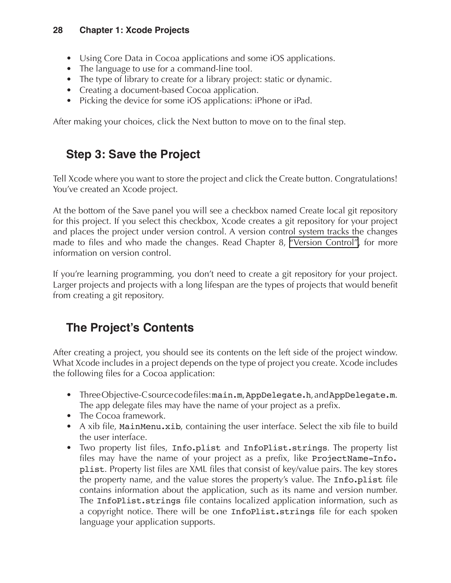- Using Core Data in Cocoa applications and some iOS applications.
- The language to use for a command-line tool.
- The type of library to create for a library project: static or dynamic.
- Creating a document-based Cocoa application.
- Picking the device for some iOS applications: iPhone or iPad.

After making your choices, click the Next button to move on to the final step.

## **Step 3: Save the Project**

Tell Xcode where you want to store the project and click the Create button. Congratulations! You've created an Xcode project.

At the bottom of the Save panel you will see a checkbox named Create local git repository for this project. If you select this checkbox, Xcode creates a git repository for your project and places the project under version control. A version control system tracks the changes made to files and who made the changes. Read Chapter 8, "Version Control", for more information on version control.

If you're learning programming, you don't need to create a git repository for your project. Larger projects and projects with a long lifespan are the types of projects that would benefit from creating a git repository.

## **The Project's Contents**

After creating a project, you should see its contents on the left side of the project window. What Xcode includes in a project depends on the type of project you create. Xcode includes the following files for a Cocoa application:

- Three Objective-C source code files: main.m, AppDelegate.h, and AppDelegate.m. The app delegate files may have the name of your project as a prefix.
- The Cocoa framework.
- A xib file, MainMenu.xib, containing the user interface. Select the xib file to build the user interface.
- Two property list files, Info.plist and InfoPlist.strings. The property list files may have the name of your project as a prefix, like ProjectName-Info. plist. Property list files are XML files that consist of key/value pairs. The key stores the property name, and the value stores the property's value. The Info.plist file contains information about the application, such as its name and version number. The InfoPlist.strings file contains localized application information, such as a copyright notice. There will be one InfoPlist.strings file for each spoken language your application supports.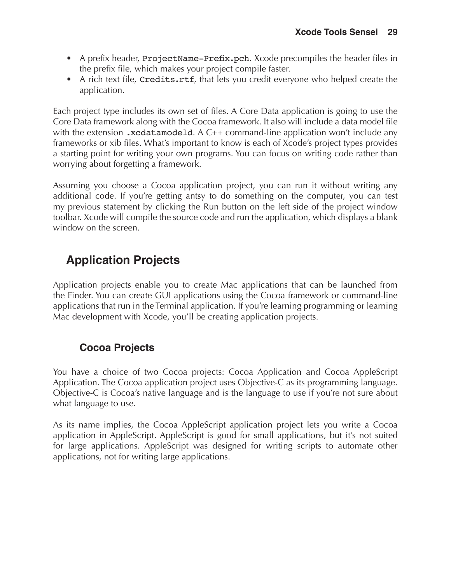- A prefix header, ProjectName-Prefix.pch. Xcode precompiles the header files in the prefix file, which makes your project compile faster.
- A rich text file, Credits.rtf, that lets you credit everyone who helped create the application.

Each project type includes its own set of files. A Core Data application is going to use the Core Data framework along with the Cocoa framework. It also will include a data model file with the extension .xcdatamodeld. A C++ command-line application won't include any frameworks or xib files. What's important to know is each of Xcode's project types provides a starting point for writing your own programs. You can focus on writing code rather than worrying about forgetting a framework.

Assuming you choose a Cocoa application project, you can run it without writing any additional code. If you're getting antsy to do something on the computer, you can test my previous statement by clicking the Run button on the left side of the project window toolbar. Xcode will compile the source code and run the application, which displays a blank window on the screen.

## **Application Projects**

Application projects enable you to create Mac applications that can be launched from the Finder. You can create GUI applications using the Cocoa framework or command-line applications that run in the Terminal application. If you're learning programming or learning Mac development with Xcode, you'll be creating application projects.

### **Cocoa Projects**

You have a choice of two Cocoa projects: Cocoa Application and Cocoa AppleScript Application. The Cocoa application project uses Objective-C as its programming language. Objective-C is Cocoa's native language and is the language to use if you're not sure about what language to use.

As its name implies, the Cocoa AppleScript application project lets you write a Cocoa application in AppleScript. AppleScript is good for small applications, but it's not suited for large applications. AppleScript was designed for writing scripts to automate other applications, not for writing large applications.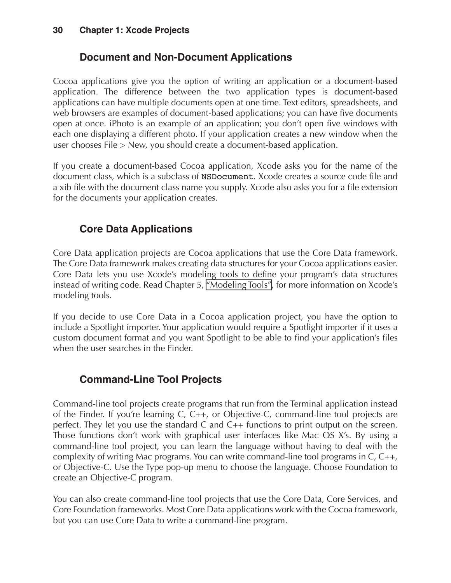### **Document and Non-Document Applications**

Cocoa applications give you the option of writing an application or a document-based application. The difference between the two application types is document-based applications can have multiple documents open at one time. Text editors, spreadsheets, and web browsers are examples of document-based applications; you can have five documents open at once. iPhoto is an example of an application; you don't open five windows with each one displaying a different photo. If your application creates a new window when the user chooses File > New, you should create a document-based application.

If you create a document-based Cocoa application, Xcode asks you for the name of the document class, which is a subclass of NSDocument. Xcode creates a source code file and a xib file with the document class name you supply. Xcode also asks you for a file extension for the documents your application creates.

### **Core Data Applications**

Core Data application projects are Cocoa applications that use the Core Data framework. The Core Data framework makes creating data structures for your Cocoa applications easier. Core Data lets you use Xcode's modeling tools to define your program's data structures instead of writing code. Read Chapter 5, "Modeling Tools", for more information on Xcode's modeling tools.

If you decide to use Core Data in a Cocoa application project, you have the option to include a Spotlight importer. Your application would require a Spotlight importer if it uses a custom document format and you want Spotlight to be able to find your application's files when the user searches in the Finder.

### **Command-Line Tool Projects**

Command-line tool projects create programs that run from the Terminal application instead of the Finder. If you're learning C, C++, or Objective-C, command-line tool projects are perfect. They let you use the standard C and C++ functions to print output on the screen. Those functions don't work with graphical user interfaces like Mac OS X's. By using a command-line tool project, you can learn the language without having to deal with the complexity of writing Mac programs. You can write command-line tool programs in C, C++, or Objective-C. Use the Type pop-up menu to choose the language. Choose Foundation to create an Objective-C program.

You can also create command-line tool projects that use the Core Data, Core Services, and Core Foundation frameworks. Most Core Data applications work with the Cocoa framework, but you can use Core Data to write a command-line program.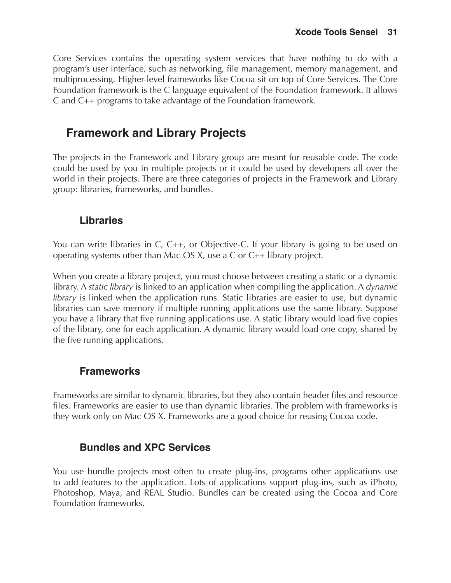Core Services contains the operating system services that have nothing to do with a program's user interface, such as networking, file management, memory management, and multiprocessing. Higher-level frameworks like Cocoa sit on top of Core Services. The Core Foundation framework is the C language equivalent of the Foundation framework. It allows C and C++ programs to take advantage of the Foundation framework.

### **Framework and Library Projects**

The projects in the Framework and Library group are meant for reusable code. The code could be used by you in multiple projects or it could be used by developers all over the world in their projects. There are three categories of projects in the Framework and Library group: libraries, frameworks, and bundles.

#### **Libraries**

You can write libraries in C, C++, or Objective-C. If your library is going to be used on operating systems other than Mac OS X, use a C or C++ library project.

When you create a library project, you must choose between creating a static or a dynamic library. A *static library* is linked to an application when compiling the application. A *dynamic library* is linked when the application runs. Static libraries are easier to use, but dynamic libraries can save memory if multiple running applications use the same library. Suppose you have a library that five running applications use. A static library would load five copies of the library, one for each application. A dynamic library would load one copy, shared by the five running applications.

### **Frameworks**

Frameworks are similar to dynamic libraries, but they also contain header files and resource files. Frameworks are easier to use than dynamic libraries. The problem with frameworks is they work only on Mac OS X. Frameworks are a good choice for reusing Cocoa code.

### **Bundles and XPC Services**

You use bundle projects most often to create plug-ins, programs other applications use to add features to the application. Lots of applications support plug-ins, such as iPhoto, Photoshop, Maya, and REAL Studio. Bundles can be created using the Cocoa and Core Foundation frameworks.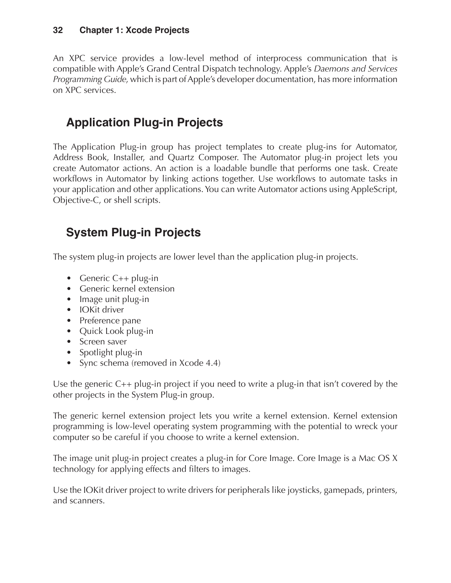An XPC service provides a low-level method of interprocess communication that is compatible with Apple's Grand Central Dispatch technology. Apple's *Daemons and Services Programming Guide*, which is part of Apple's developer documentation, has more information on XPC services.

## **Application Plug-in Projects**

The Application Plug-in group has project templates to create plug-ins for Automator, Address Book, Installer, and Quartz Composer. The Automator plug-in project lets you create Automator actions. An action is a loadable bundle that performs one task. Create workflows in Automator by linking actions together. Use workflows to automate tasks in your application and other applications. You can write Automator actions using AppleScript, Objective-C, or shell scripts.

## **System Plug-in Projects**

The system plug-in projects are lower level than the application plug-in projects.

- Generic C++ plug-in
- Generic kernel extension
- Image unit plug-in
- IOKit driver
- Preference pane
- Quick Look plug-in
- Screen saver
- Spotlight plug-in
- Sync schema (removed in Xcode 4.4)

Use the generic C++ plug-in project if you need to write a plug-in that isn't covered by the other projects in the System Plug-in group.

The generic kernel extension project lets you write a kernel extension. Kernel extension programming is low-level operating system programming with the potential to wreck your computer so be careful if you choose to write a kernel extension.

The image unit plug-in project creates a plug-in for Core Image. Core Image is a Mac OS X technology for applying effects and filters to images.

Use the IOKit driver project to write drivers for peripherals like joysticks, gamepads, printers, and scanners.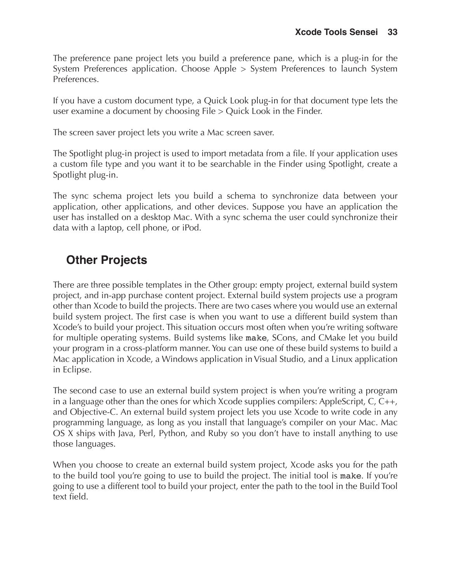The preference pane project lets you build a preference pane, which is a plug-in for the System Preferences application. Choose Apple > System Preferences to launch System Preferences.

If you have a custom document type, a Quick Look plug-in for that document type lets the user examine a document by choosing File > Quick Look in the Finder.

The screen saver project lets you write a Mac screen saver.

The Spotlight plug-in project is used to import metadata from a file. If your application uses a custom file type and you want it to be searchable in the Finder using Spotlight, create a Spotlight plug-in.

The sync schema project lets you build a schema to synchronize data between your application, other applications, and other devices. Suppose you have an application the user has installed on a desktop Mac. With a sync schema the user could synchronize their data with a laptop, cell phone, or iPod.

### **Other Projects**

There are three possible templates in the Other group: empty project, external build system project, and in-app purchase content project. External build system projects use a program other than Xcode to build the projects. There are two cases where you would use an external build system project. The first case is when you want to use a different build system than Xcode's to build your project. This situation occurs most often when you're writing software for multiple operating systems. Build systems like make, SCons, and CMake let you build your program in a cross-platform manner. You can use one of these build systems to build a Mac application in Xcode, a Windows application in Visual Studio, and a Linux application in Eclipse.

The second case to use an external build system project is when you're writing a program in a language other than the ones for which Xcode supplies compilers: AppleScript, C, C++, and Objective-C. An external build system project lets you use Xcode to write code in any programming language, as long as you install that language's compiler on your Mac. Mac OS X ships with Java, Perl, Python, and Ruby so you don't have to install anything to use those languages.

When you choose to create an external build system project, Xcode asks you for the path to the build tool you're going to use to build the project. The initial tool is make. If you're going to use a different tool to build your project, enter the path to the tool in the Build Tool text field.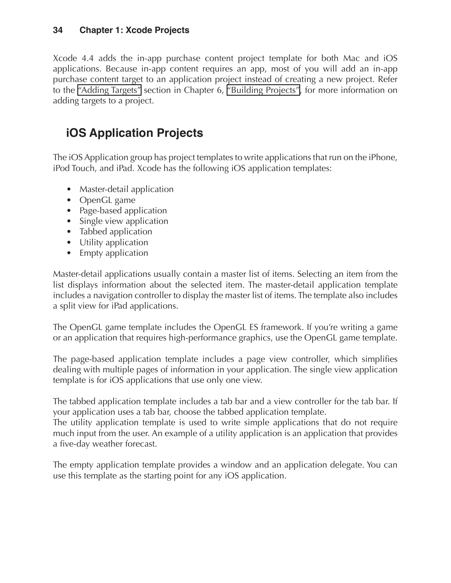Xcode 4.4 adds the in-app purchase content project template for both Mac and iOS applications. Because in-app content requires an app, most of you will add an in-app purchase content target to an application project instead of creating a new project. Refer to the "Adding Targets" section in Chapter 6, "Building Projects", for more information on adding targets to a project.

## **iOS Application Projects**

The iOS Application group has project templates to write applications that run on the iPhone, iPod Touch, and iPad. Xcode has the following iOS application templates:

- Master-detail application
- OpenGL game
- Page-based application
- Single view application
- Tabbed application
- Utility application
- Empty application

Master-detail applications usually contain a master list of items. Selecting an item from the list displays information about the selected item. The master-detail application template includes a navigation controller to display the master list of items. The template also includes a split view for iPad applications.

The OpenGL game template includes the OpenGL ES framework. If you're writing a game or an application that requires high-performance graphics, use the OpenGL game template.

The page-based application template includes a page view controller, which simplifies dealing with multiple pages of information in your application. The single view application template is for iOS applications that use only one view.

The tabbed application template includes a tab bar and a view controller for the tab bar. If your application uses a tab bar, choose the tabbed application template.

The utility application template is used to write simple applications that do not require much input from the user. An example of a utility application is an application that provides a five-day weather forecast.

The empty application template provides a window and an application delegate. You can use this template as the starting point for any iOS application.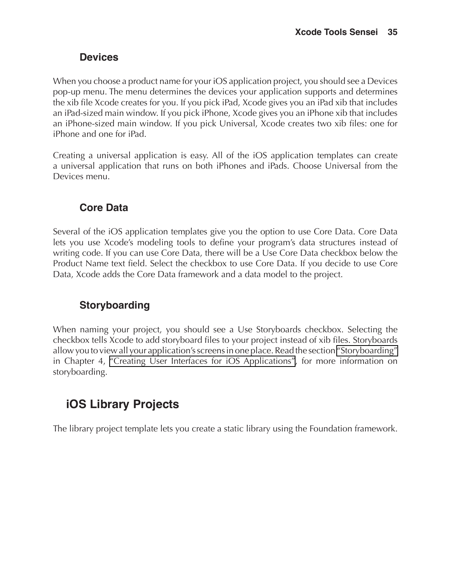#### **Devices**

When you choose a product name for your iOS application project, you should see a Devices pop-up menu. The menu determines the devices your application supports and determines the xib file Xcode creates for you. If you pick iPad, Xcode gives you an iPad xib that includes an iPad-sized main window. If you pick iPhone, Xcode gives you an iPhone xib that includes an iPhone-sized main window. If you pick Universal, Xcode creates two xib files: one for iPhone and one for iPad.

Creating a universal application is easy. All of the iOS application templates can create a universal application that runs on both iPhones and iPads. Choose Universal from the Devices menu.

#### **Core Data**

Several of the iOS application templates give you the option to use Core Data. Core Data lets you use Xcode's modeling tools to define your program's data structures instead of writing code. If you can use Core Data, there will be a Use Core Data checkbox below the Product Name text field. Select the checkbox to use Core Data. If you decide to use Core Data, Xcode adds the Core Data framework and a data model to the project.

### **Storyboarding**

When naming your project, you should see a Use Storyboards checkbox. Selecting the checkbox tells Xcode to add storyboard files to your project instead of xib files. Storyboards allow you to view all your application's screens in one place. Read the section "Storyboarding" in Chapter 4, "Creating User Interfaces for iOS Applications", for more information on storyboarding.

## **iOS Library Projects**

The library project template lets you create a static library using the Foundation framework.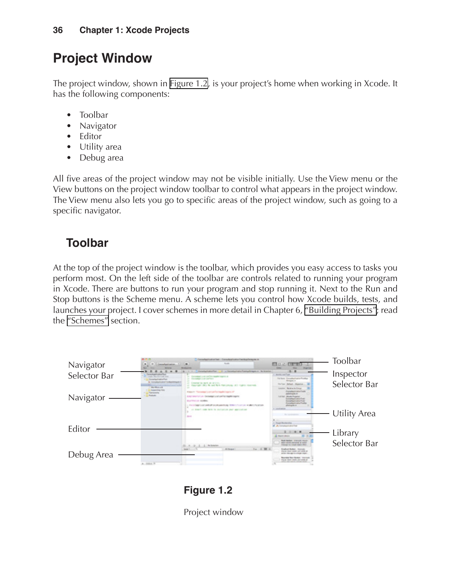## **Project Window**

The project window, shown in [Figure 1.2](#page-10-0), is your project's home when working in Xcode. It has the following components:

- Toolbar
- **Navigator**
- **Editor**
- Utility area
- Debug area

All five areas of the project window may not be visible initially. Use the View menu or the View buttons on the project window toolbar to control what appears in the project window. The View menu also lets you go to specific areas of the project window, such as going to a specific navigator.

## **Toolbar**

At the top of the project window is the toolbar, which provides you easy access to tasks you perform most. On the left side of the toolbar are controls related to running your program in Xcode. There are buttons to run your program and stop running it. Next to the Run and Stop buttons is the Scheme menu. A scheme lets you control how Xcode builds, tests, and launches your project. I cover schemes in more detail in Chapter 6, "Building Projects"; read the "Schemes" section.



### <span id="page-10-0"></span>**Figure 1.2**

Project window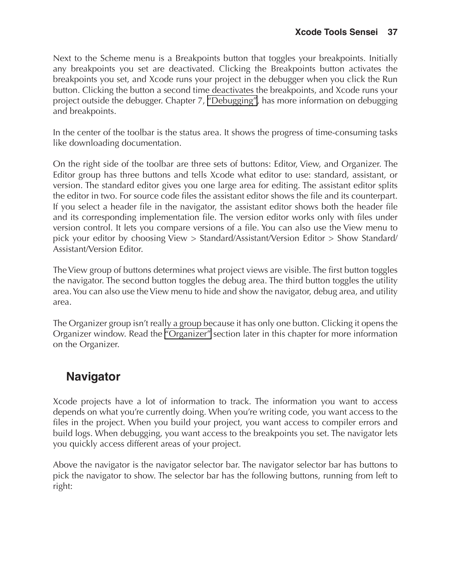Next to the Scheme menu is a Breakpoints button that toggles your breakpoints. Initially any breakpoints you set are deactivated. Clicking the Breakpoints button activates the breakpoints you set, and Xcode runs your project in the debugger when you click the Run button. Clicking the button a second time deactivates the breakpoints, and Xcode runs your project outside the debugger. Chapter 7, "Debugging", has more information on debugging and breakpoints.

In the center of the toolbar is the status area. It shows the progress of time-consuming tasks like downloading documentation.

On the right side of the toolbar are three sets of buttons: Editor, View, and Organizer. The Editor group has three buttons and tells Xcode what editor to use: standard, assistant, or version. The standard editor gives you one large area for editing. The assistant editor splits the editor in two. For source code files the assistant editor shows the file and its counterpart. If you select a header file in the navigator, the assistant editor shows both the header file and its corresponding implementation file. The version editor works only with files under version control. It lets you compare versions of a file. You can also use the View menu to pick your editor by choosing View > Standard/Assistant/Version Editor > Show Standard/ Assistant/Version Editor.

The View group of buttons determines what project views are visible. The first button toggles the navigator. The second button toggles the debug area. The third button toggles the utility area. You can also use the View menu to hide and show the navigator, debug area, and utility area.

The Organizer group isn't really a group because it has only one button. Clicking it opens the Organizer window. Read the ["Organizer"](#page-33-0) section later in this chapter for more information on the Organizer.

## **Navigator**

Xcode projects have a lot of information to track. The information you want to access depends on what you're currently doing. When you're writing code, you want access to the files in the project. When you build your project, you want access to compiler errors and build logs. When debugging, you want access to the breakpoints you set. The navigator lets you quickly access different areas of your project.

Above the navigator is the navigator selector bar. The navigator selector bar has buttons to pick the navigator to show. The selector bar has the following buttons, running from left to right: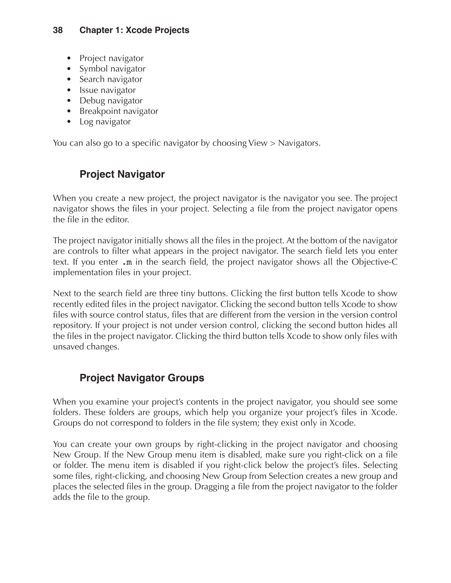- Project navigator
- Symbol navigator
- Search navigator
- Issue navigator
- Debug navigator
- Breakpoint navigator
- Log navigator

You can also go to a specific navigator by choosing View > Navigators.

### **Project Navigator**

When you create a new project, the project navigator is the navigator you see. The project navigator shows the files in your project. Selecting a file from the project navigator opens the file in the editor.

The project navigator initially shows all the files in the project. At the bottom of the navigator are controls to filter what appears in the project navigator. The search field lets you enter text. If you enter .m in the search field, the project navigator shows all the Objective-C implementation files in your project.

Next to the search field are three tiny buttons. Clicking the first button tells Xcode to show recently edited files in the project navigator. Clicking the second button tells Xcode to show files with source control status, files that are different from the version in the version control repository. If your project is not under version control, clicking the second button hides all the files in the project navigator. Clicking the third button tells Xcode to show only files with unsaved changes.

### **Project Navigator Groups**

When you examine your project's contents in the project navigator, you should see some folders. These folders are groups, which help you organize your project's files in Xcode. Groups do not correspond to folders in the file system; they exist only in Xcode.

You can create your own groups by right-clicking in the project navigator and choosing New Group. If the New Group menu item is disabled, make sure you right-click on a file or folder. The menu item is disabled if you right-click below the project's files. Selecting some files, right-clicking, and choosing New Group from Selection creates a new group and places the selected files in the group. Dragging a file from the project navigator to the folder adds the file to the group.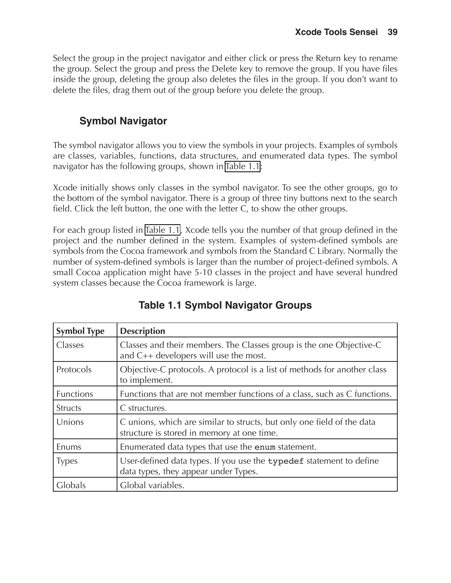Select the group in the project navigator and either click or press the Return key to rename the group. Select the group and press the Delete key to remove the group. If you have files inside the group, deleting the group also deletes the files in the group. If you don't want to delete the files, drag them out of the group before you delete the group.

### **Symbol Navigator**

The symbol navigator allows you to view the symbols in your projects. Examples of symbols are classes, variables, functions, data structures, and enumerated data types. The symbol navigator has the following groups, shown in [Table 1.1](#page-13-0):

Xcode initially shows only classes in the symbol navigator. To see the other groups, go to the bottom of the symbol navigator. There is a group of three tiny buttons next to the search field. Click the left button, the one with the letter C, to show the other groups.

For each group listed in [Table 1.1,](#page-13-0) Xcode tells you the number of that group defined in the project and the number defined in the system. Examples of system-defined symbols are symbols from the Cocoa framework and symbols from the Standard C Library. Normally the number of system-defined symbols is larger than the number of project-defined symbols. A small Cocoa application might have 5-10 classes in the project and have several hundred system classes because the Cocoa framework is large.

| <b>Symbol Type</b> | <b>Description</b>                                                                                                   |  |
|--------------------|----------------------------------------------------------------------------------------------------------------------|--|
| Classes            | Classes and their members. The Classes group is the one Objective-C<br>and $C++$ developers will use the most.       |  |
| Protocols          | Objective-C protocols. A protocol is a list of methods for another class<br>to implement.                            |  |
| <b>Functions</b>   | Functions that are not member functions of a class, such as C functions.                                             |  |
| <b>Structs</b>     | C structures.                                                                                                        |  |
| Unions             | C unions, which are similar to structs, but only one field of the data<br>structure is stored in memory at one time. |  |
| Enums              | Enumerated data types that use the enum statement.                                                                   |  |
| <b>Types</b>       | User-defined data types. If you use the typedef statement to define<br>data types, they appear under Types.          |  |
| Globals            | Global variables.                                                                                                    |  |

### <span id="page-13-0"></span>**Table 1.1 Symbol Navigator Groups**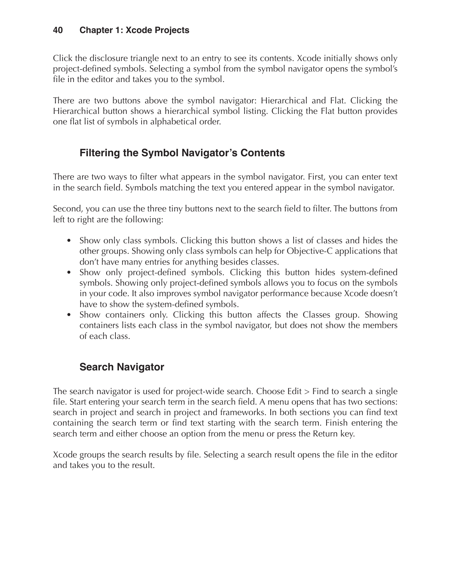Click the disclosure triangle next to an entry to see its contents. Xcode initially shows only project-defined symbols. Selecting a symbol from the symbol navigator opens the symbol's file in the editor and takes you to the symbol.

There are two buttons above the symbol navigator: Hierarchical and Flat. Clicking the Hierarchical button shows a hierarchical symbol listing. Clicking the Flat button provides one flat list of symbols in alphabetical order.

### **Filtering the Symbol Navigator's Contents**

There are two ways to filter what appears in the symbol navigator. First, you can enter text in the search field. Symbols matching the text you entered appear in the symbol navigator.

Second, you can use the three tiny buttons next to the search field to filter. The buttons from left to right are the following:

- Show only class symbols. Clicking this button shows a list of classes and hides the other groups. Showing only class symbols can help for Objective-C applications that don't have many entries for anything besides classes.
- Show only project-defined symbols. Clicking this button hides system-defined symbols. Showing only project-defined symbols allows you to focus on the symbols in your code. It also improves symbol navigator performance because Xcode doesn't have to show the system-defined symbols.
- Show containers only. Clicking this button affects the Classes group. Showing containers lists each class in the symbol navigator, but does not show the members of each class.

### **Search Navigator**

The search navigator is used for project-wide search. Choose Edit > Find to search a single file. Start entering your search term in the search field. A menu opens that has two sections: search in project and search in project and frameworks. In both sections you can find text containing the search term or find text starting with the search term. Finish entering the search term and either choose an option from the menu or press the Return key.

Xcode groups the search results by file. Selecting a search result opens the file in the editor and takes you to the result.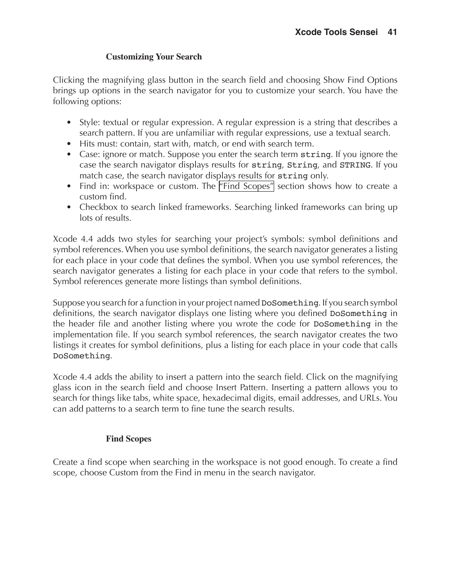#### **Customizing Your Search**

Clicking the magnifying glass button in the search field and choosing Show Find Options brings up options in the search navigator for you to customize your search. You have the following options:

- Style: textual or regular expression. A regular expression is a string that describes a search pattern. If you are unfamiliar with regular expressions, use a textual search.
- Hits must: contain, start with, match, or end with search term.
- Case: ignore or match. Suppose you enter the search term string. If you ignore the case the search navigator displays results for string, String, and STRING. If you match case, the search navigator displays results for string only.
- Find in: workspace or custom. The ["Find Scopes"](#page-15-0) section shows how to create a custom find.
- Checkbox to search linked frameworks. Searching linked frameworks can bring up lots of results.

Xcode 4.4 adds two styles for searching your project's symbols: symbol definitions and symbol references. When you use symbol definitions, the search navigator generates a listing for each place in your code that defines the symbol. When you use symbol references, the search navigator generates a listing for each place in your code that refers to the symbol. Symbol references generate more listings than symbol definitions.

Suppose you search for a function in your project named DoSomething. If you search symbol definitions, the search navigator displays one listing where you defined DoSomething in the header file and another listing where you wrote the code for DoSomething in the implementation file. If you search symbol references, the search navigator creates the two listings it creates for symbol definitions, plus a listing for each place in your code that calls DoSomething.

Xcode 4.4 adds the ability to insert a pattern into the search field. Click on the magnifying glass icon in the search field and choose Insert Pattern. Inserting a pattern allows you to search for things like tabs, white space, hexadecimal digits, email addresses, and URLs. You can add patterns to a search term to fine tune the search results.

#### <span id="page-15-0"></span>**Find Scopes**

Create a find scope when searching in the workspace is not good enough. To create a find scope, choose Custom from the Find in menu in the search navigator.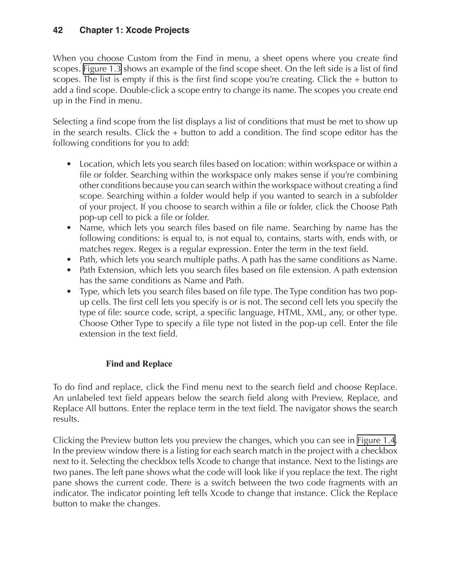When you choose Custom from the Find in menu, a sheet opens where you create find scopes. [Figure 1.3](#page-17-0) shows an example of the find scope sheet. On the left side is a list of find scopes. The list is empty if this is the first find scope you're creating. Click the  $+$  button to add a find scope. Double-click a scope entry to change its name. The scopes you create end up in the Find in menu.

Selecting a find scope from the list displays a list of conditions that must be met to show up in the search results. Click the  $+$  button to add a condition. The find scope editor has the following conditions for you to add:

- Location, which lets you search files based on location: within workspace or within a file or folder. Searching within the workspace only makes sense if you're combining other conditions because you can search within the workspace without creating a find scope. Searching within a folder would help if you wanted to search in a subfolder of your project. If you choose to search within a file or folder, click the Choose Path pop-up cell to pick a file or folder.
- Name, which lets you search files based on file name. Searching by name has the following conditions: is equal to, is not equal to, contains, starts with, ends with, or matches regex. Regex is a regular expression. Enter the term in the text field.
- Path, which lets you search multiple paths. A path has the same conditions as Name.
- Path Extension, which lets you search files based on file extension. A path extension has the same conditions as Name and Path.
- Type, which lets you search files based on file type. The Type condition has two popup cells. The first cell lets you specify is or is not. The second cell lets you specify the type of file: source code, script, a specific language, HTML, XML, any, or other type. Choose Other Type to specify a file type not listed in the pop-up cell. Enter the file extension in the text field.

#### **Find and Replace**

To do find and replace, click the Find menu next to the search field and choose Replace. An unlabeled text field appears below the search field along with Preview, Replace, and Replace All buttons. Enter the replace term in the text field. The navigator shows the search results.

Clicking the Preview button lets you preview the changes, which you can see in [Figure 1.4.](#page-17-1) In the preview window there is a listing for each search match in the project with a checkbox next to it. Selecting the checkbox tells Xcode to change that instance. Next to the listings are two panes. The left pane shows what the code will look like if you replace the text. The right pane shows the current code. There is a switch between the two code fragments with an indicator. The indicator pointing left tells Xcode to change that instance. Click the Replace button to make the changes.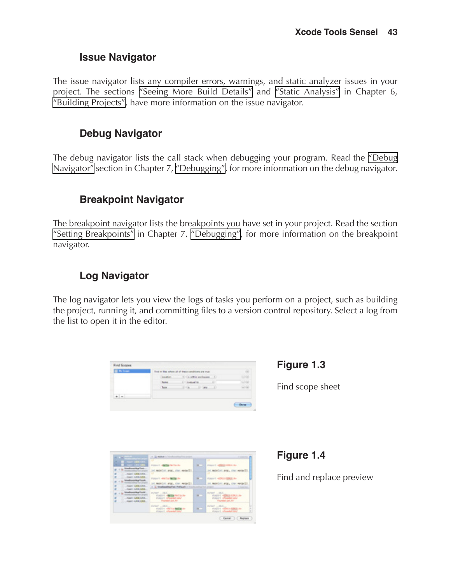#### **Issue Navigator**

The issue navigator lists any compiler errors, warnings, and static analyzer issues in your project. The sections "Seeing More Build Details" and "Static Analysis" in Chapter 6, "Building Projects", have more information on the issue navigator.

#### **Debug Navigator**

The debug navigator lists the call stack when debugging your program. Read the "Debug Navigator" section in Chapter 7, "Debugging", for more information on the debug navigator.

#### **Breakpoint Navigator**

The breakpoint navigator lists the breakpoints you have set in your project. Read the section "Setting Breakpoints" in Chapter 7, "Debugging", for more information on the breakpoint navigator.

### **Log Navigator**

The log navigator lets you view the logs of tasks you perform on a project, such as building the project, running it, and committing files to a version control repository. Select a log from the list to open it in the editor.

| <b>Different</b> | East in New school off of these conditions are true.   |           |
|------------------|--------------------------------------------------------|-----------|
|                  | <b>Location</b><br>1.1 La addise anchorages.<br>$\sim$ | -19       |
|                  | <b>Classic</b><br><b>Reprints</b>                      | <b>HA</b> |
|                  | 83 Ok. 11<br>Chees.                                    | 88        |
| $n = n$          |                                                        |           |

<span id="page-17-0"></span>**Figure 1.3**

Find scope sheet

| <b>ALC: NO</b>                                                                                                                                                            | 1. M. Balled in Virginian Paul Structure                                                                                                                                                 |                     | 2 months and                                                                                                                                                                 |
|---------------------------------------------------------------------------------------------------------------------------------------------------------------------------|------------------------------------------------------------------------------------------------------------------------------------------------------------------------------------------|---------------------|------------------------------------------------------------------------------------------------------------------------------------------------------------------------------|
| ٠<br>77<br><b>Vastusaitus</b> Fot<br>that a silky for any<br>April 4/84/1894<br>- Hotel climations<br>Vanhouthat hot.<br>and a statute that sixteen<br>AUGUST HUMAN FLAKE | Automotive Management States<br>let matelied arms, that manufilly<br>Fotoer's whether the second<br>lot monter any, that weard it.<br>1. A. Washington Policek in Hollands of a trade of | <b>COLLEGE</b><br>- | т<br><b>Alleger C. ADMIA/GONZALISM</b><br>int mainted angly that named it.<br><b>Allegear C. Addition At 1978 U.S. And</b><br>IN MORDAL AND, that wants !!!<br>21 Paul Print |
| <b>JOSEF CRASHER</b><br><b>Westman Hartweit</b><br><b>R</b> conference or a series<br>CONTRACTORS -<br>T. L. PANET LAND CORP.                                             | ayant _ rack<br>Former 440<br><b>INVESTIGATION CONTINUES.</b><br>Personalist June Ave.                                                                                                   | ×.                  | Arrest Mill<br>AND ASSESSED FOR THE ABOVE<br><b>Williams of Sandar Land</b><br>Foundation Land                                                                               |
|                                                                                                                                                                           | <b>AVION  JAVA</b><br>A parent when the field by the<br>Almost wheeler law                                                                                                               |                     | 4240 385<br><b>Alexandr who what you</b>                                                                                                                                     |

<span id="page-17-1"></span>**Figure 1.4**

Find and replace preview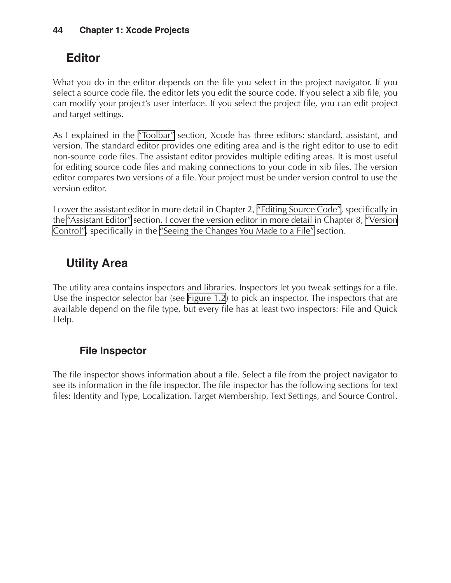## **Editor**

What you do in the editor depends on the file you select in the project navigator. If you select a source code file, the editor lets you edit the source code. If you select a xib file, you can modify your project's user interface. If you select the project file, you can edit project and target settings.

As I explained in the "Toolbar" section, Xcode has three editors: standard, assistant, and version. The standard editor provides one editing area and is the right editor to use to edit non-source code files. The assistant editor provides multiple editing areas. It is most useful for editing source code files and making connections to your code in xib files. The version editor compares two versions of a file. Your project must be under version control to use the version editor.

I cover the assistant editor in more detail in Chapter 2, "Editing Source Code", specifically in the "Assistant Editor" section. I cover the version editor in more detail in Chapter 8, "Version Control", specifically in the "Seeing the Changes You Made to a File" section.

## **Utility Area**

The utility area contains inspectors and libraries. Inspectors let you tweak settings for a file. Use the inspector selector bar (see [Figure 1.2\)](#page-10-0) to pick an inspector. The inspectors that are available depend on the file type, but every file has at least two inspectors: File and Quick Help.

### **File Inspector**

The file inspector shows information about a file. Select a file from the project navigator to see its information in the file inspector. The file inspector has the following sections for text files: Identity and Type, Localization, Target Membership, Text Settings, and Source Control.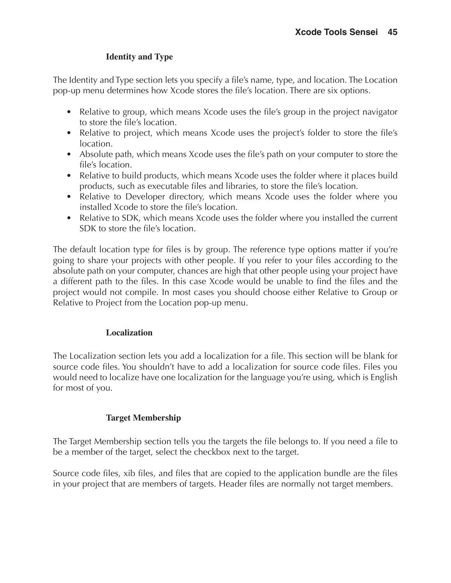#### **Identity and Type**

The Identity and Type section lets you specify a file's name, type, and location. The Location pop-up menu determines how Xcode stores the file's location. There are six options.

- Relative to group, which means Xcode uses the file's group in the project navigator to store the file's location.
- Relative to project, which means Xcode uses the project's folder to store the file's location.
- Absolute path, which means Xcode uses the file's path on your computer to store the file's location.
- Relative to build products, which means Xcode uses the folder where it places build products, such as executable files and libraries, to store the file's location.
- Relative to Developer directory, which means Xcode uses the folder where you installed Xcode to store the file's location.
- Relative to SDK, which means Xcode uses the folder where you installed the current SDK to store the file's location.

The default location type for files is by group. The reference type options matter if you're going to share your projects with other people. If you refer to your files according to the absolute path on your computer, chances are high that other people using your project have a different path to the files. In this case Xcode would be unable to find the files and the project would not compile. In most cases you should choose either Relative to Group or Relative to Project from the Location pop-up menu.

#### **Localization**

The Localization section lets you add a localization for a file. This section will be blank for source code files. You shouldn't have to add a localization for source code files. Files you would need to localize have one localization for the language you're using, which is English for most of you.

#### **Target Membership**

The Target Membership section tells you the targets the file belongs to. If you need a file to be a member of the target, select the checkbox next to the target.

Source code files, xib files, and files that are copied to the application bundle are the files in your project that are members of targets. Header files are normally not target members.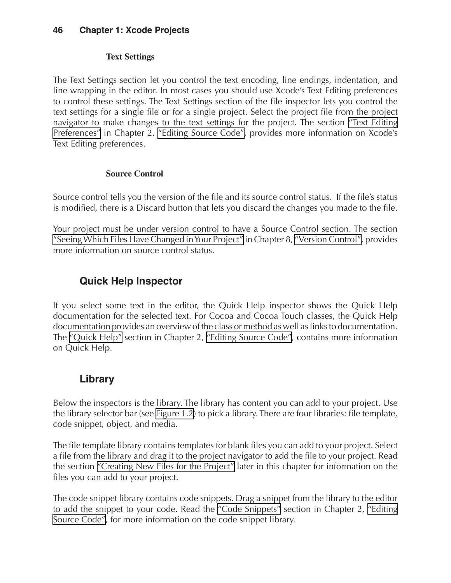#### **Text Settings**

The Text Settings section let you control the text encoding, line endings, indentation, and line wrapping in the editor. In most cases you should use Xcode's Text Editing preferences to control these settings. The Text Settings section of the file inspector lets you control the text settings for a single file or for a single project. Select the project file from the project navigator to make changes to the text settings for the project. The section "Text Editing Preferences" in Chapter 2, "Editing Source Code", provides more information on Xcode's Text Editing preferences.

#### **Source Control**

Source control tells you the version of the file and its source control status. If the file's status is modified, there is a Discard button that lets you discard the changes you made to the file.

Your project must be under version control to have a Source Control section. The section "Seeing Which Files Have Changed in Your Project" in Chapter 8, "Version Control", provides more information on source control status.

### **Quick Help Inspector**

If you select some text in the editor, the Quick Help inspector shows the Quick Help documentation for the selected text. For Cocoa and Cocoa Touch classes, the Quick Help documentation provides an overview of the class or method as well as links to documentation. The "Quick Help" section in Chapter 2, "Editing Source Code", contains more information on Quick Help.

#### **Library**

Below the inspectors is the library. The library has content you can add to your project. Use the library selector bar (see [Figure 1.2\)](#page-10-0) to pick a library. There are four libraries: file template, code snippet, object, and media.

The file template library contains templates for blank files you can add to your project. Select a file from the library and drag it to the project navigator to add the file to your project. Read the section ["Creating New Files for the Project"](#page-21-0) later in this chapter for information on the files you can add to your project.

The code snippet library contains code snippets. Drag a snippet from the library to the editor to add the snippet to your code. Read the "Code Snippets" section in Chapter 2, "Editing Source Code", for more information on the code snippet library.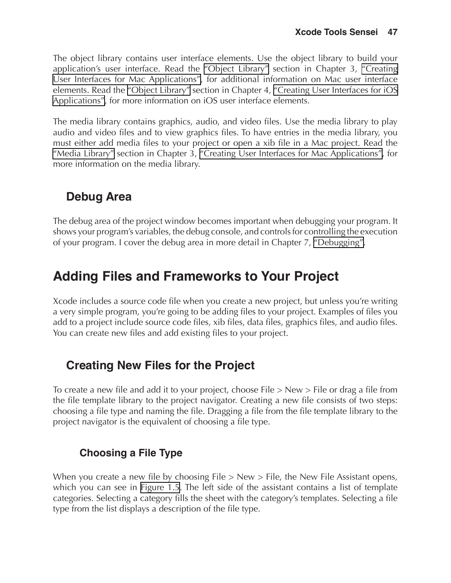The object library contains user interface elements. Use the object library to build your application's user interface. Read the "Object Library" section in Chapter 3, "Creating User Interfaces for Mac Applications", for additional information on Mac user interface elements. Read the "Object Library" section in Chapter 4, "Creating User Interfaces for iOS Applications", for more information on iOS user interface elements.

The media library contains graphics, audio, and video files. Use the media library to play audio and video files and to view graphics files. To have entries in the media library, you must either add media files to your project or open a xib file in a Mac project. Read the "Media Library" section in Chapter 3, "Creating User Interfaces for Mac Applications", for more information on the media library.

## **Debug Area**

The debug area of the project window becomes important when debugging your program. It shows your program's variables, the debug console, and controls for controlling the execution of your program. I cover the debug area in more detail in Chapter 7, "Debugging".

## **Adding Files and Frameworks to Your Project**

Xcode includes a source code file when you create a new project, but unless you're writing a very simple program, you're going to be adding files to your project. Examples of files you add to a project include source code files, xib files, data files, graphics files, and audio files. You can create new files and add existing files to your project.

## <span id="page-21-0"></span>**Creating New Files for the Project**

To create a new file and add it to your project, choose File > New > File or drag a file from the file template library to the project navigator. Creating a new file consists of two steps: choosing a file type and naming the file. Dragging a file from the file template library to the project navigator is the equivalent of choosing a file type.

### **Choosing a File Type**

When you create a new file by choosing File > New > File, the New File Assistant opens, which you can see in [Figure 1.5](#page-22-0). The left side of the assistant contains a list of template categories. Selecting a category fills the sheet with the category's templates. Selecting a file type from the list displays a description of the file type.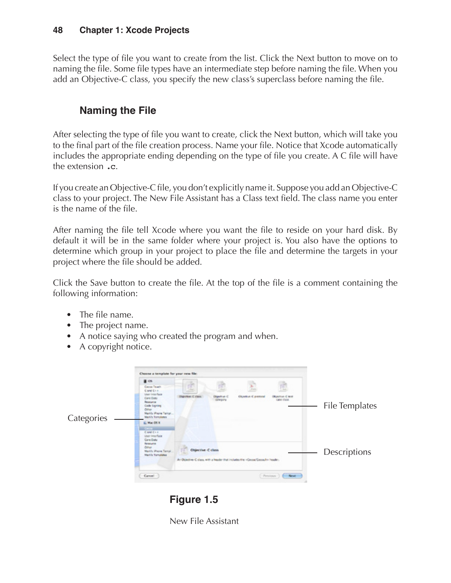Select the type of file you want to create from the list. Click the Next button to move on to naming the file. Some file types have an intermediate step before naming the file. When you add an Objective-C class, you specify the new class's superclass before naming the file.

### **Naming the File**

After selecting the type of file you want to create, click the Next button, which will take you to the final part of the file creation process. Name your file. Notice that Xcode automatically includes the appropriate ending depending on the type of file you create. A C file will have the extension .c.

If you create an Objective-C file, you don't explicitly name it. Suppose you add an Objective-C class to your project. The New File Assistant has a Class text field. The class name you enter is the name of the file.

After naming the file tell Xcode where you want the file to reside on your hard disk. By default it will be in the same folder where your project is. You also have the options to determine which group in your project to place the file and determine the targets in your project where the file should be added.

Click the Save button to create the file. At the top of the file is a comment containing the following information:

- The file name.
- The project name.
- A notice saying who created the program and when.
- A copyright notice.



**Figure 1.5**

<span id="page-22-0"></span>New File Assistant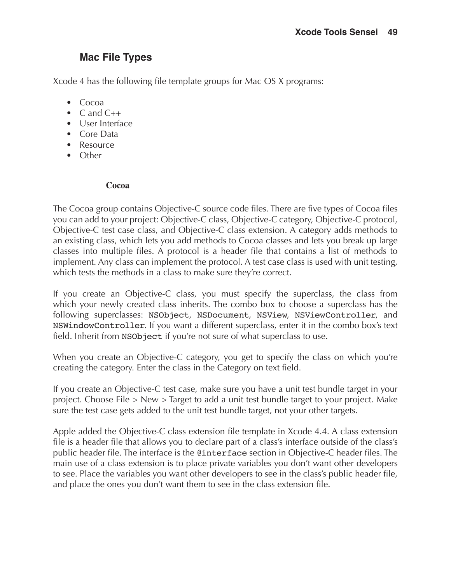### **Mac File Types**

Xcode 4 has the following file template groups for Mac OS X programs:

- Cocoa
- C and  $C_{++}$
- User Interface
- Core Data
- Resource
- Other

#### **Cocoa**

The Cocoa group contains Objective-C source code files. There are five types of Cocoa files you can add to your project: Objective-C class, Objective-C category, Objective-C protocol, Objective-C test case class, and Objective-C class extension. A category adds methods to an existing class, which lets you add methods to Cocoa classes and lets you break up large classes into multiple files. A protocol is a header file that contains a list of methods to implement. Any class can implement the protocol. A test case class is used with unit testing, which tests the methods in a class to make sure they're correct.

If you create an Objective-C class, you must specify the superclass, the class from which your newly created class inherits. The combo box to choose a superclass has the following superclasses: NSObject, NSDocument, NSView, NSViewController, and NSWindowController. If you want a different superclass, enter it in the combo box's text field. Inherit from NSObject if you're not sure of what superclass to use.

When you create an Objective-C category, you get to specify the class on which you're creating the category. Enter the class in the Category on text field.

If you create an Objective-C test case, make sure you have a unit test bundle target in your project. Choose File > New > Target to add a unit test bundle target to your project. Make sure the test case gets added to the unit test bundle target, not your other targets.

Apple added the Objective-C class extension file template in Xcode 4.4. A class extension file is a header file that allows you to declare part of a class's interface outside of the class's public header file. The interface is the @interface section in Objective-C header files. The main use of a class extension is to place private variables you don't want other developers to see. Place the variables you want other developers to see in the class's public header file, and place the ones you don't want them to see in the class extension file.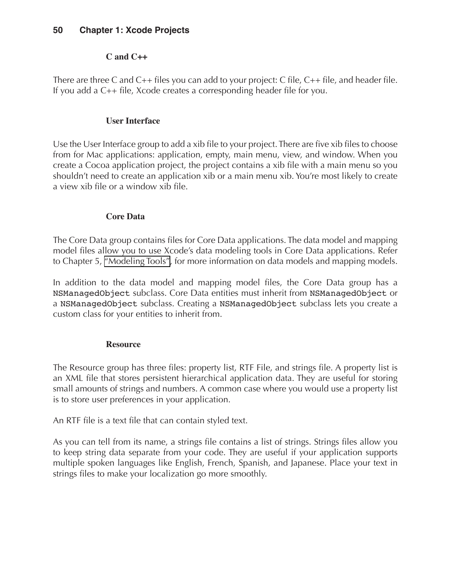#### **C and C++**

There are three C and  $C_{++}$  files you can add to your project: C file,  $C_{++}$  file, and header file. If you add a C++ file, Xcode creates a corresponding header file for you.

#### **User Interface**

Use the User Interface group to add a xib file to your project. There are five xib files to choose from for Mac applications: application, empty, main menu, view, and window. When you create a Cocoa application project, the project contains a xib file with a main menu so you shouldn't need to create an application xib or a main menu xib. You're most likely to create a view xib file or a window xib file.

#### **Core Data**

The Core Data group contains files for Core Data applications. The data model and mapping model files allow you to use Xcode's data modeling tools in Core Data applications. Refer to Chapter 5, "Modeling Tools", for more information on data models and mapping models.

In addition to the data model and mapping model files, the Core Data group has a NSManagedObject subclass. Core Data entities must inherit from NSManagedObject or a NSManagedObject subclass. Creating a NSManagedObject subclass lets you create a custom class for your entities to inherit from.

#### **Resource**

The Resource group has three files: property list, RTF File, and strings file. A property list is an XML file that stores persistent hierarchical application data. They are useful for storing small amounts of strings and numbers. A common case where you would use a property list is to store user preferences in your application.

An RTF file is a text file that can contain styled text.

As you can tell from its name, a strings file contains a list of strings. Strings files allow you to keep string data separate from your code. They are useful if your application supports multiple spoken languages like English, French, Spanish, and Japanese. Place your text in strings files to make your localization go more smoothly.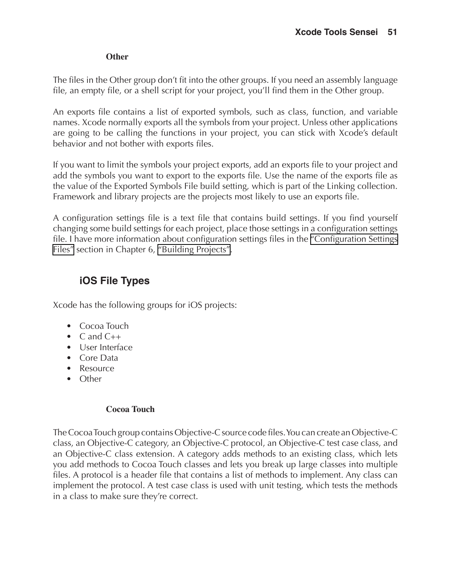#### **Other**

The files in the Other group don't fit into the other groups. If you need an assembly language file, an empty file, or a shell script for your project, you'll find them in the Other group.

An exports file contains a list of exported symbols, such as class, function, and variable names. Xcode normally exports all the symbols from your project. Unless other applications are going to be calling the functions in your project, you can stick with Xcode's default behavior and not bother with exports files.

If you want to limit the symbols your project exports, add an exports file to your project and add the symbols you want to export to the exports file. Use the name of the exports file as the value of the Exported Symbols File build setting, which is part of the Linking collection. Framework and library projects are the projects most likely to use an exports file.

A configuration settings file is a text file that contains build settings. If you find yourself changing some build settings for each project, place those settings in a configuration settings file. I have more information about configuration settings files in the "Configuration Settings Files" section in Chapter 6, "Building Projects".

### **iOS File Types**

Xcode has the following groups for iOS projects:

- Cocoa Touch
- $\bullet$  C and C++
- User Interface
- Core Data
- Resource
- Other

#### **Cocoa Touch**

The Cocoa Touch group contains Objective-C source code files. You can create an Objective-C class, an Objective-C category, an Objective-C protocol, an Objective-C test case class, and an Objective-C class extension. A category adds methods to an existing class, which lets you add methods to Cocoa Touch classes and lets you break up large classes into multiple files. A protocol is a header file that contains a list of methods to implement. Any class can implement the protocol. A test case class is used with unit testing, which tests the methods in a class to make sure they're correct.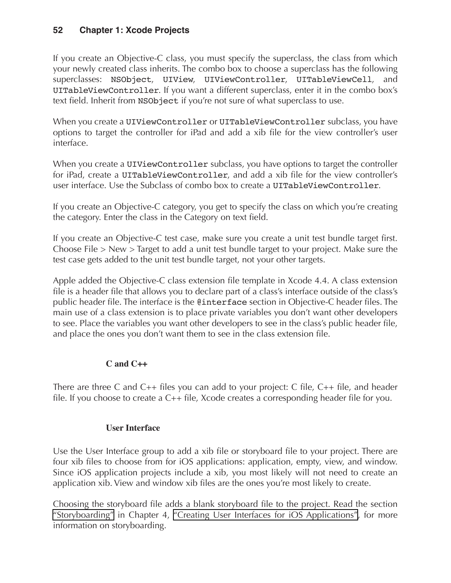If you create an Objective-C class, you must specify the superclass, the class from which your newly created class inherits. The combo box to choose a superclass has the following superclasses: NSObject, UIView, UIViewController, UITableViewCell, and UITableViewController. If you want a different superclass, enter it in the combo box's text field. Inherit from NSObject if you're not sure of what superclass to use.

When you create a UIViewController or UITableViewController subclass, you have options to target the controller for iPad and add a xib file for the view controller's user interface.

When you create a UIViewController subclass, you have options to target the controller for iPad, create a UITableViewController, and add a xib file for the view controller's user interface. Use the Subclass of combo box to create a UITableViewController.

If you create an Objective-C category, you get to specify the class on which you're creating the category. Enter the class in the Category on text field.

If you create an Objective-C test case, make sure you create a unit test bundle target first. Choose File > New > Target to add a unit test bundle target to your project. Make sure the test case gets added to the unit test bundle target, not your other targets.

Apple added the Objective-C class extension file template in Xcode 4.4. A class extension file is a header file that allows you to declare part of a class's interface outside of the class's public header file. The interface is the @interface section in Objective-C header files. The main use of a class extension is to place private variables you don't want other developers to see. Place the variables you want other developers to see in the class's public header file, and place the ones you don't want them to see in the class extension file.

#### **C and C++**

There are three C and C++ files you can add to your project: C file, C++ file, and header file. If you choose to create a C++ file, Xcode creates a corresponding header file for you.

#### **User Interface**

Use the User Interface group to add a xib file or storyboard file to your project. There are four xib files to choose from for iOS applications: application, empty, view, and window. Since iOS application projects include a xib, you most likely will not need to create an application xib. View and window xib files are the ones you're most likely to create.

Choosing the storyboard file adds a blank storyboard file to the project. Read the section "Storyboarding" in Chapter 4, "Creating User Interfaces for iOS Applications", for more information on storyboarding.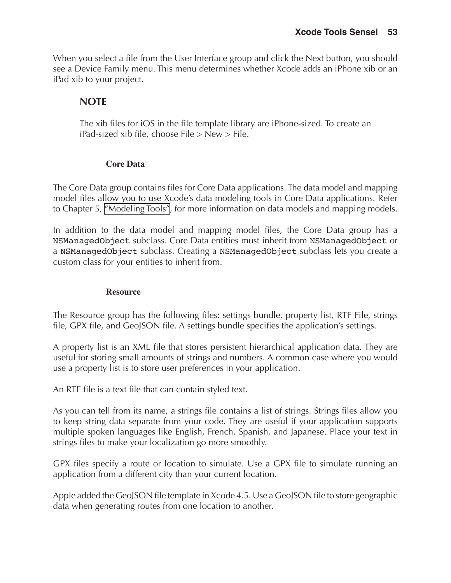When you select a file from the User Interface group and click the Next button, you should see a Device Family menu. This menu determines whether Xcode adds an iPhone xib or an iPad xib to your project.

#### **NOTE**

The xib files for iOS in the file template library are iPhone-sized. To create an iPad-sized xib file, choose File > New > File.

#### **Core Data**

The Core Data group contains files for Core Data applications. The data model and mapping model files allow you to use Xcode's data modeling tools in Core Data applications. Refer to Chapter 5, "Modeling Tools", for more information on data models and mapping models.

In addition to the data model and mapping model files, the Core Data group has a NSManagedObject subclass. Core Data entities must inherit from NSManagedObject or a NSManagedObject subclass. Creating a NSManagedObject subclass lets you create a custom class for your entities to inherit from.

#### **Resource**

The Resource group has the following files: settings bundle, property list, RTF File, strings file, GPX file, and GeoJSON file. A settings bundle specifies the application's settings.

A property list is an XML file that stores persistent hierarchical application data. They are useful for storing small amounts of strings and numbers. A common case where you would use a property list is to store user preferences in your application.

An RTF file is a text file that can contain styled text.

As you can tell from its name, a strings file contains a list of strings. Strings files allow you to keep string data separate from your code. They are useful if your application supports multiple spoken languages like English, French, Spanish, and Japanese. Place your text in strings files to make your localization go more smoothly.

GPX files specify a route or location to simulate. Use a GPX file to simulate running an application from a different city than your current location.

Apple added the GeoJSON file template in Xcode 4.5. Use a GeoJSON file to store geographic data when generating routes from one location to another.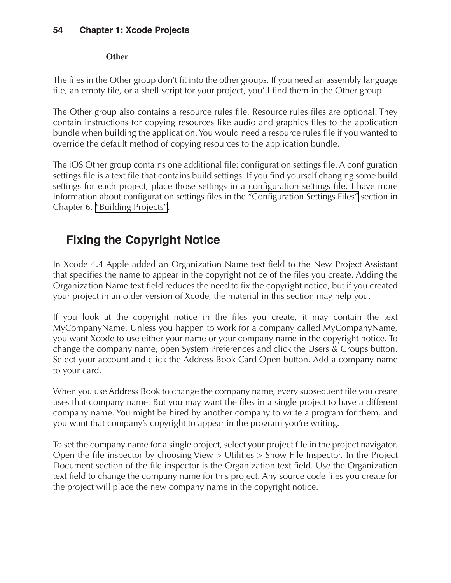#### **Other**

The files in the Other group don't fit into the other groups. If you need an assembly language file, an empty file, or a shell script for your project, you'll find them in the Other group.

The Other group also contains a resource rules file. Resource rules files are optional. They contain instructions for copying resources like audio and graphics files to the application bundle when building the application. You would need a resource rules file if you wanted to override the default method of copying resources to the application bundle.

The iOS Other group contains one additional file: configuration settings file. A configuration settings file is a text file that contains build settings. If you find yourself changing some build settings for each project, place those settings in a configuration settings file. I have more information about configuration settings files in the "Configuration Settings Files" section in Chapter 6, "Building Projects".

## **Fixing the Copyright Notice**

In Xcode 4.4 Apple added an Organization Name text field to the New Project Assistant that specifies the name to appear in the copyright notice of the files you create. Adding the Organization Name text field reduces the need to fix the copyright notice, but if you created your project in an older version of Xcode, the material in this section may help you.

If you look at the copyright notice in the files you create, it may contain the text MyCompanyName. Unless you happen to work for a company called MyCompanyName, you want Xcode to use either your name or your company name in the copyright notice. To change the company name, open System Preferences and click the Users & Groups button. Select your account and click the Address Book Card Open button. Add a company name to your card.

When you use Address Book to change the company name, every subsequent file you create uses that company name. But you may want the files in a single project to have a different company name. You might be hired by another company to write a program for them, and you want that company's copyright to appear in the program you're writing.

To set the company name for a single project, select your project file in the project navigator. Open the file inspector by choosing View > Utilities > Show File Inspector. In the Project Document section of the file inspector is the Organization text field. Use the Organization text field to change the company name for this project. Any source code files you create for the project will place the new company name in the copyright notice.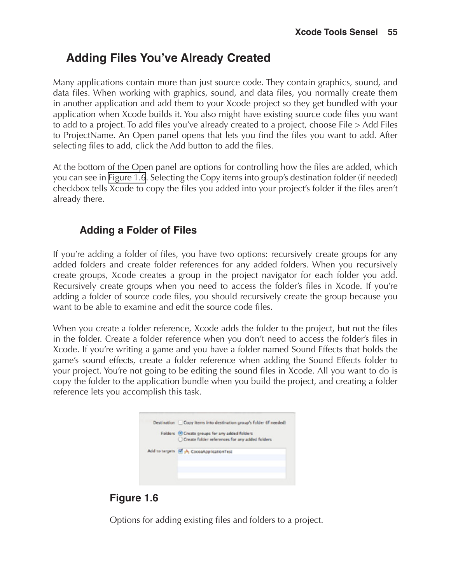## **Adding Files You've Already Created**

Many applications contain more than just source code. They contain graphics, sound, and data files. When working with graphics, sound, and data files, you normally create them in another application and add them to your Xcode project so they get bundled with your application when Xcode builds it. You also might have existing source code files you want to add to a project. To add files you've already created to a project, choose File > Add Files to ProjectName. An Open panel opens that lets you find the files you want to add. After selecting files to add, click the Add button to add the files.

At the bottom of the Open panel are options for controlling how the files are added, which you can see in [Figure 1.6](#page-29-0). Selecting the Copy items into group's destination folder (if needed) checkbox tells Xcode to copy the files you added into your project's folder if the files aren't already there.

### **Adding a Folder of Files**

If you're adding a folder of files, you have two options: recursively create groups for any added folders and create folder references for any added folders. When you recursively create groups, Xcode creates a group in the project navigator for each folder you add. Recursively create groups when you need to access the folder's files in Xcode. If you're adding a folder of source code files, you should recursively create the group because you want to be able to examine and edit the source code files.

When you create a folder reference, Xcode adds the folder to the project, but not the files in the folder. Create a folder reference when you don't need to access the folder's files in Xcode. If you're writing a game and you have a folder named Sound Effects that holds the game's sound effects, create a folder reference when adding the Sound Effects folder to your project. You're not going to be editing the sound files in Xcode. All you want to do is copy the folder to the application bundle when you build the project, and creating a folder reference lets you accomplish this task.



### <span id="page-29-0"></span>**Figure 1.6**

Options for adding existing files and folders to a project.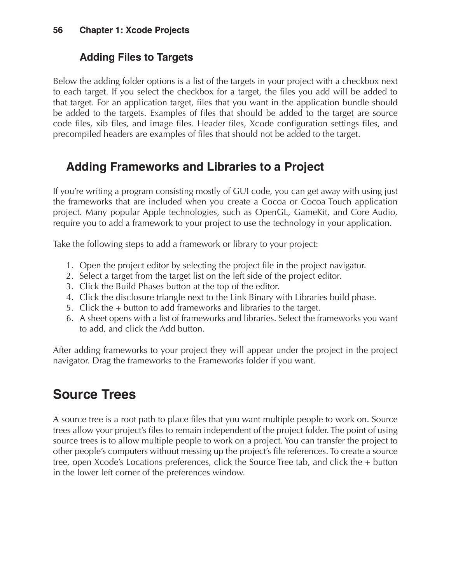### **Adding Files to Targets**

Below the adding folder options is a list of the targets in your project with a checkbox next to each target. If you select the checkbox for a target, the files you add will be added to that target. For an application target, files that you want in the application bundle should be added to the targets. Examples of files that should be added to the target are source code files, xib files, and image files. Header files, Xcode configuration settings files, and precompiled headers are examples of files that should not be added to the target.

## **Adding Frameworks and Libraries to a Project**

If you're writing a program consisting mostly of GUI code, you can get away with using just the frameworks that are included when you create a Cocoa or Cocoa Touch application project. Many popular Apple technologies, such as OpenGL, GameKit, and Core Audio, require you to add a framework to your project to use the technology in your application.

Take the following steps to add a framework or library to your project:

- 1. Open the project editor by selecting the project file in the project navigator.
- 2. Select a target from the target list on the left side of the project editor.
- 3. Click the Build Phases button at the top of the editor.
- 4. Click the disclosure triangle next to the Link Binary with Libraries build phase.
- 5. Click the + button to add frameworks and libraries to the target.
- 6. A sheet opens with a list of frameworks and libraries. Select the frameworks you want to add, and click the Add button.

After adding frameworks to your project they will appear under the project in the project navigator. Drag the frameworks to the Frameworks folder if you want.

## **Source Trees**

A source tree is a root path to place files that you want multiple people to work on. Source trees allow your project's files to remain independent of the project folder. The point of using source trees is to allow multiple people to work on a project. You can transfer the project to other people's computers without messing up the project's file references. To create a source tree, open Xcode's Locations preferences, click the Source Tree tab, and click the + button in the lower left corner of the preferences window.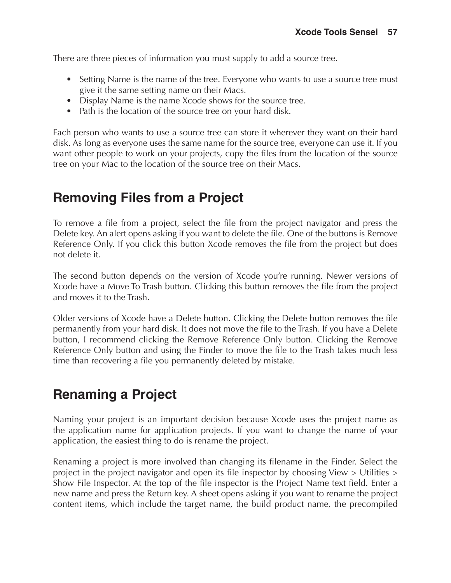There are three pieces of information you must supply to add a source tree.

- Setting Name is the name of the tree. Everyone who wants to use a source tree must give it the same setting name on their Macs.
- Display Name is the name Xcode shows for the source tree.
- Path is the location of the source tree on your hard disk.

Each person who wants to use a source tree can store it wherever they want on their hard disk. As long as everyone uses the same name for the source tree, everyone can use it. If you want other people to work on your projects, copy the files from the location of the source tree on your Mac to the location of the source tree on their Macs.

## **Removing Files from a Project**

To remove a file from a project, select the file from the project navigator and press the Delete key. An alert opens asking if you want to delete the file. One of the buttons is Remove Reference Only. If you click this button Xcode removes the file from the project but does not delete it.

The second button depends on the version of Xcode you're running. Newer versions of Xcode have a Move To Trash button. Clicking this button removes the file from the project and moves it to the Trash.

Older versions of Xcode have a Delete button. Clicking the Delete button removes the file permanently from your hard disk. It does not move the file to the Trash. If you have a Delete button, I recommend clicking the Remove Reference Only button. Clicking the Remove Reference Only button and using the Finder to move the file to the Trash takes much less time than recovering a file you permanently deleted by mistake.

## **Renaming a Project**

Naming your project is an important decision because Xcode uses the project name as the application name for application projects. If you want to change the name of your application, the easiest thing to do is rename the project.

Renaming a project is more involved than changing its filename in the Finder. Select the project in the project navigator and open its file inspector by choosing View > Utilities > Show File Inspector. At the top of the file inspector is the Project Name text field. Enter a new name and press the Return key. A sheet opens asking if you want to rename the project content items, which include the target name, the build product name, the precompiled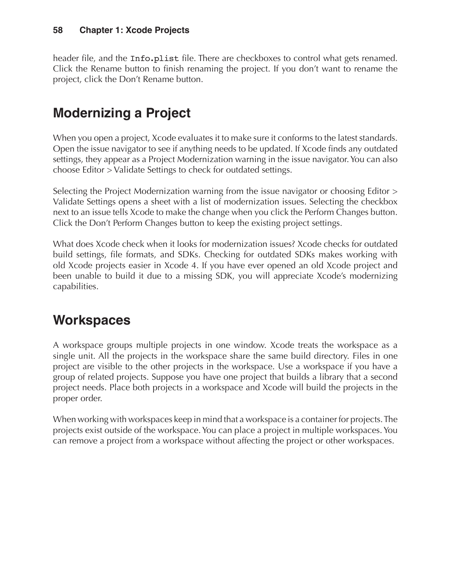header file, and the Info.plist file. There are checkboxes to control what gets renamed. Click the Rename button to finish renaming the project. If you don't want to rename the project, click the Don't Rename button.

## **Modernizing a Project**

When you open a project, Xcode evaluates it to make sure it conforms to the latest standards. Open the issue navigator to see if anything needs to be updated. If Xcode finds any outdated settings, they appear as a Project Modernization warning in the issue navigator. You can also choose Editor > Validate Settings to check for outdated settings.

Selecting the Project Modernization warning from the issue navigator or choosing Editor > Validate Settings opens a sheet with a list of modernization issues. Selecting the checkbox next to an issue tells Xcode to make the change when you click the Perform Changes button. Click the Don't Perform Changes button to keep the existing project settings.

What does Xcode check when it looks for modernization issues? Xcode checks for outdated build settings, file formats, and SDKs. Checking for outdated SDKs makes working with old Xcode projects easier in Xcode 4. If you have ever opened an old Xcode project and been unable to build it due to a missing SDK, you will appreciate Xcode's modernizing capabilities.

## **Workspaces**

A workspace groups multiple projects in one window. Xcode treats the workspace as a single unit. All the projects in the workspace share the same build directory. Files in one project are visible to the other projects in the workspace. Use a workspace if you have a group of related projects. Suppose you have one project that builds a library that a second project needs. Place both projects in a workspace and Xcode will build the projects in the proper order.

When working with workspaces keep in mind that a workspace is a container for projects. The projects exist outside of the workspace. You can place a project in multiple workspaces. You can remove a project from a workspace without affecting the project or other workspaces.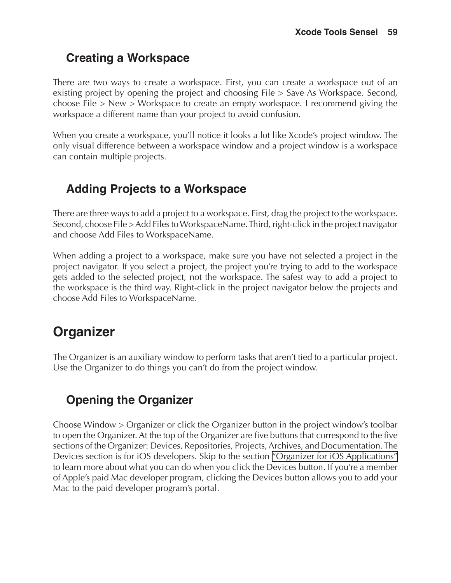## **Creating a Workspace**

There are two ways to create a workspace. First, you can create a workspace out of an existing project by opening the project and choosing File > Save As Workspace. Second, choose File > New > Workspace to create an empty workspace. I recommend giving the workspace a different name than your project to avoid confusion.

When you create a workspace, you'll notice it looks a lot like Xcode's project window. The only visual difference between a workspace window and a project window is a workspace can contain multiple projects.

## **Adding Projects to a Workspace**

There are three ways to add a project to a workspace. First, drag the project to the workspace. Second, choose File > Add Files to WorkspaceName. Third, right-click in the project navigator and choose Add Files to WorkspaceName.

When adding a project to a workspace, make sure you have not selected a project in the project navigator. If you select a project, the project you're trying to add to the workspace gets added to the selected project, not the workspace. The safest way to add a project to the workspace is the third way. Right-click in the project navigator below the projects and choose Add Files to WorkspaceName.

## <span id="page-33-0"></span>**Organizer**

The Organizer is an auxiliary window to perform tasks that aren't tied to a particular project. Use the Organizer to do things you can't do from the project window.

## **Opening the Organizer**

Choose Window > Organizer or click the Organizer button in the project window's toolbar to open the Organizer. At the top of the Organizer are five buttons that correspond to the five sections of the Organizer: Devices, Repositories, Projects, Archives, and Documentation. The Devices section is for iOS developers. Skip to the section ["Organizer for iOS Applications"](#page-34-0)  to learn more about what you can do when you click the Devices button. If you're a member of Apple's paid Mac developer program, clicking the Devices button allows you to add your Mac to the paid developer program's portal.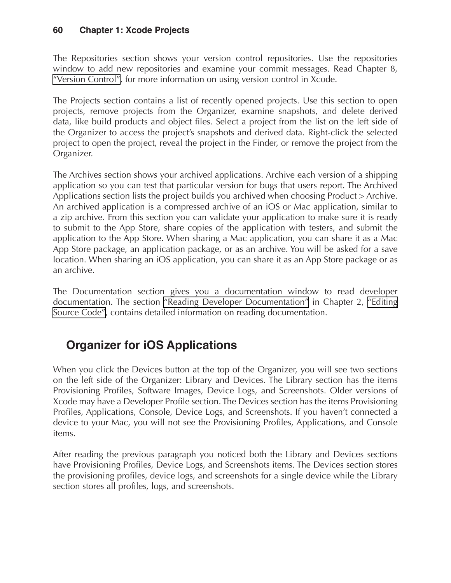The Repositories section shows your version control repositories. Use the repositories window to add new repositories and examine your commit messages. Read Chapter 8, "Version Control", for more information on using version control in Xcode.

The Projects section contains a list of recently opened projects. Use this section to open projects, remove projects from the Organizer, examine snapshots, and delete derived data, like build products and object files. Select a project from the list on the left side of the Organizer to access the project's snapshots and derived data. Right-click the selected project to open the project, reveal the project in the Finder, or remove the project from the Organizer.

The Archives section shows your archived applications. Archive each version of a shipping application so you can test that particular version for bugs that users report. The Archived Applications section lists the project builds you archived when choosing Product > Archive. An archived application is a compressed archive of an iOS or Mac application, similar to a zip archive. From this section you can validate your application to make sure it is ready to submit to the App Store, share copies of the application with testers, and submit the application to the App Store. When sharing a Mac application, you can share it as a Mac App Store package, an application package, or as an archive. You will be asked for a save location. When sharing an iOS application, you can share it as an App Store package or as an archive.

The Documentation section gives you a documentation window to read developer documentation. The section "Reading Developer Documentation" in Chapter 2, "Editing Source Code", contains detailed information on reading documentation.

## <span id="page-34-0"></span>**Organizer for iOS Applications**

When you click the Devices button at the top of the Organizer, you will see two sections on the left side of the Organizer: Library and Devices. The Library section has the items Provisioning Profiles, Software Images, Device Logs, and Screenshots. Older versions of Xcode may have a Developer Profile section. The Devices section has the items Provisioning Profiles, Applications, Console, Device Logs, and Screenshots. If you haven't connected a device to your Mac, you will not see the Provisioning Profiles, Applications, and Console items.

After reading the previous paragraph you noticed both the Library and Devices sections have Provisioning Profiles, Device Logs, and Screenshots items. The Devices section stores the provisioning profiles, device logs, and screenshots for a single device while the Library section stores all profiles, logs, and screenshots.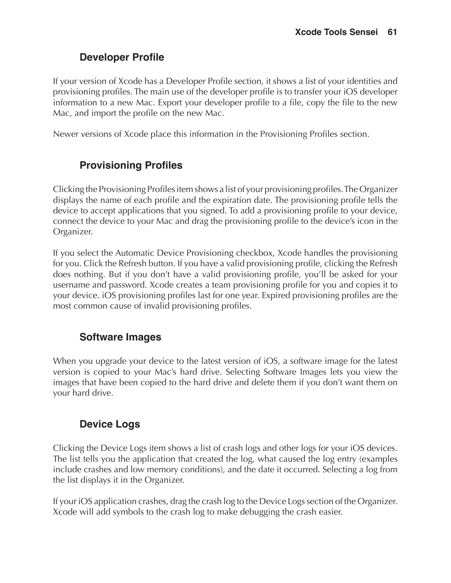### **Developer Profile**

If your version of Xcode has a Developer Profile section, it shows a list of your identities and provisioning profiles. The main use of the developer profile is to transfer your iOS developer information to a new Mac. Export your developer profile to a file, copy the file to the new Mac, and import the profile on the new Mac.

Newer versions of Xcode place this information in the Provisioning Profiles section.

### <span id="page-35-0"></span>**Provisioning Profiles**

Clicking the Provisioning Profiles item shows a list of your provisioning profiles. The Organizer displays the name of each profile and the expiration date. The provisioning profile tells the device to accept applications that you signed. To add a provisioning profile to your device, connect the device to your Mac and drag the provisioning profile to the device's icon in the Organizer.

If you select the Automatic Device Provisioning checkbox, Xcode handles the provisioning for you. Click the Refresh button. If you have a valid provisioning profile, clicking the Refresh does nothing. But if you don't have a valid provisioning profile, you'll be asked for your username and password. Xcode creates a team provisioning profile for you and copies it to your device. iOS provisioning profiles last for one year. Expired provisioning profiles are the most common cause of invalid provisioning profiles.

### **Software Images**

When you upgrade your device to the latest version of iOS, a software image for the latest version is copied to your Mac's hard drive. Selecting Software Images lets you view the images that have been copied to the hard drive and delete them if you don't want them on your hard drive.

### <span id="page-35-1"></span>**Device Logs**

Clicking the Device Logs item shows a list of crash logs and other logs for your iOS devices. The list tells you the application that created the log, what caused the log entry (examples include crashes and low memory conditions), and the date it occurred. Selecting a log from the list displays it in the Organizer.

If your iOS application crashes, drag the crash log to the Device Logs section of the Organizer. Xcode will add symbols to the crash log to make debugging the crash easier.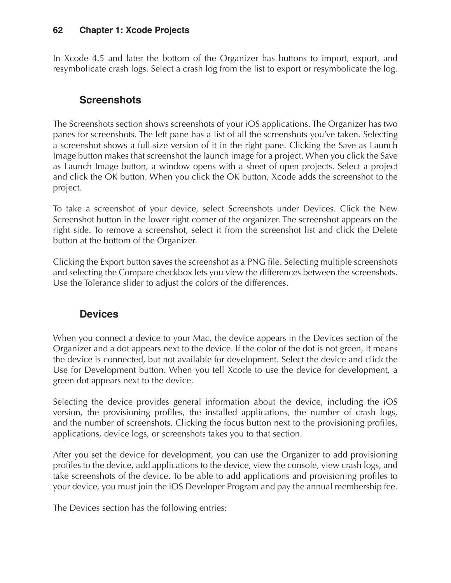In Xcode 4.5 and later the bottom of the Organizer has buttons to import, export, and resymbolicate crash logs. Select a crash log from the list to export or resymbolicate the log.

### <span id="page-36-0"></span>**Screenshots**

The Screenshots section shows screenshots of your iOS applications. The Organizer has two panes for screenshots. The left pane has a list of all the screenshots you've taken. Selecting a screenshot shows a full-size version of it in the right pane. Clicking the Save as Launch Image button makes that screenshot the launch image for a project. When you click the Save as Launch Image button, a window opens with a sheet of open projects. Select a project and click the OK button. When you click the OK button, Xcode adds the screenshot to the project.

To take a screenshot of your device, select Screenshots under Devices. Click the New Screenshot button in the lower right corner of the organizer. The screenshot appears on the right side. To remove a screenshot, select it from the screenshot list and click the Delete button at the bottom of the Organizer.

Clicking the Export button saves the screenshot as a PNG file. Selecting multiple screenshots and selecting the Compare checkbox lets you view the differences between the screenshots. Use the Tolerance slider to adjust the colors of the differences.

### **Devices**

When you connect a device to your Mac, the device appears in the Devices section of the Organizer and a dot appears next to the device. If the color of the dot is not green, it means the device is connected, but not available for development. Select the device and click the Use for Development button. When you tell Xcode to use the device for development, a green dot appears next to the device.

Selecting the device provides general information about the device, including the iOS version, the provisioning profiles, the installed applications, the number of crash logs, and the number of screenshots. Clicking the focus button next to the provisioning profiles, applications, device logs, or screenshots takes you to that section.

After you set the device for development, you can use the Organizer to add provisioning profiles to the device, add applications to the device, view the console, view crash logs, and take screenshots of the device. To be able to add applications and provisioning profiles to your device, you must join the iOS Developer Program and pay the annual membership fee.

The Devices section has the following entries: